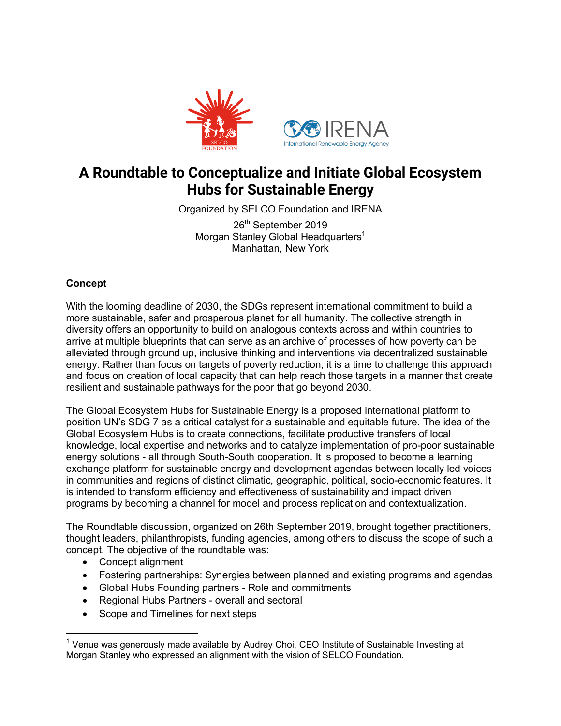

# **A Roundtable to Conceptualize and Initiate Global Ecosystem Hubs for Sustainable Energy**

Organized by SELCO Foundation and IRENA

26<sup>th</sup> September 2019 Morgan Stanley Global Headquarters<sup>1</sup> Manhattan, New York

## **Concept**

With the looming deadline of 2030, the SDGs represent international commitment to build a more sustainable, safer and prosperous planet for all humanity. The collective strength in diversity offers an opportunity to build on analogous contexts across and within countries to arrive at multiple blueprints that can serve as an archive of processes of how poverty can be alleviated through ground up, inclusive thinking and interventions via decentralized sustainable energy. Rather than focus on targets of poverty reduction, it is a time to challenge this approach and focus on creation of local capacity that can help reach those targets in a manner that create resilient and sustainable pathways for the poor that go beyond 2030.

The Global Ecosystem Hubs for Sustainable Energy is a proposed international platform to position UN's SDG 7 as a critical catalyst for a sustainable and equitable future. The idea of the Global Ecosystem Hubs is to create connections, facilitate productive transfers of local knowledge, local expertise and networks and to catalyze implementation of pro-poor sustainable energy solutions - all through South-South cooperation. It is proposed to become a learning exchange platform for sustainable energy and development agendas between locally led voices in communities and regions of distinct climatic, geographic, political, socio-economic features. It is intended to transform efficiency and effectiveness of sustainability and impact driven programs by becoming a channel for model and process replication and contextualization.

The Roundtable discussion, organized on 26th September 2019, brought together practitioners, thought leaders, philanthropists, funding agencies, among others to discuss the scope of such a concept. The objective of the roundtable was:

• Concept alignment

 $\overline{a}$ 

- Fostering partnerships: Synergies between planned and existing programs and agendas
- Global Hubs Founding partners Role and commitments
- Regional Hubs Partners overall and sectoral
- Scope and Timelines for next steps

 $1$  Venue was generously made available by Audrey Choi, CEO Institute of Sustainable Investing at Morgan Stanley who expressed an alignment with the vision of SELCO Foundation.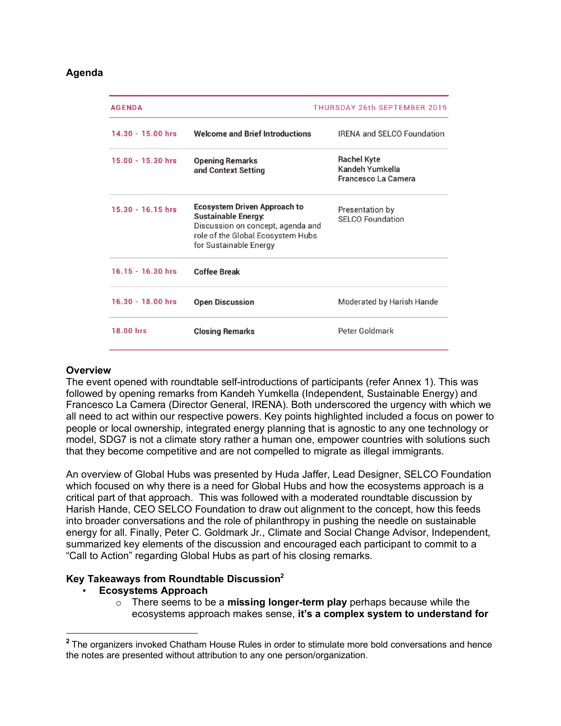#### **Agenda**

| <b>AGENDA</b>       | <b>THURSDAY 26th SEPTEMBER 2019</b>                                                                                                                                   |                                                                     |
|---------------------|-----------------------------------------------------------------------------------------------------------------------------------------------------------------------|---------------------------------------------------------------------|
| $14.30 - 15.00$ hrs | <b>Welcome and Brief Introductions</b>                                                                                                                                | <b>IRENA and SELCO Foundation</b>                                   |
| $15.00 - 15.30$ hrs | <b>Opening Remarks</b><br>and Context Setting                                                                                                                         | <b>Rachel Kyte</b><br>Kandeh Yumkella<br><b>Francesco La Camera</b> |
| $15.30 - 16.15$ hrs | <b>Ecosystem Driven Approach to</b><br><b>Sustainable Energy:</b><br>Discussion on concept, agenda and<br>role of the Global Ecosystem Hubs<br>for Sustainable Energy | Presentation by<br><b>SELCO Foundation</b>                          |
| $16.15 - 16.30$ hrs | <b>Coffee Break</b>                                                                                                                                                   |                                                                     |
| $16.30 - 18.00$ hrs | <b>Open Discussion</b>                                                                                                                                                | Moderated by Harish Hande                                           |
| 18.00 hrs           | <b>Closing Remarks</b>                                                                                                                                                | Peter Goldmark                                                      |
|                     |                                                                                                                                                                       |                                                                     |

### **Overview**

 $\overline{a}$ 

The event opened with roundtable self-introductions of participants (refer Annex 1). This was followed by opening remarks from Kandeh Yumkella (Independent, Sustainable Energy) and Francesco La Camera (Director General, IRENA). Both underscored the urgency with which we all need to act within our respective powers. Key points highlighted included a focus on power to people or local ownership, integrated energy planning that is agnostic to any one technology or model, SDG7 is not a climate story rather a human one, empower countries with solutions such that they become competitive and are not compelled to migrate as illegal immigrants.

An overview of Global Hubs was presented by Huda Jaffer, Lead Designer, SELCO Foundation which focused on why there is a need for Global Hubs and how the ecosystems approach is a critical part of that approach. This was followed with a moderated roundtable discussion by Harish Hande, CEO SELCO Foundation to draw out alignment to the concept, how this feeds into broader conversations and the role of philanthropy in pushing the needle on sustainable energy for all. Finally, Peter C. Goldmark Jr., Climate and Social Change Advisor, Independent, summarized key elements of the discussion and encouraged each participant to commit to a "Call to Action" regarding Global Hubs as part of his closing remarks.

#### **Key Takeaways from Roundtable Discussion2**

### • **Ecosystems Approach**

o There seems to be a **missing longer-term play** perhaps because while the ecosystems approach makes sense, **it's a complex system to understand for**

**<sup>2</sup>** The organizers invoked Chatham House Rules in order to stimulate more bold conversations and hence the notes are presented without attribution to any one person/organization.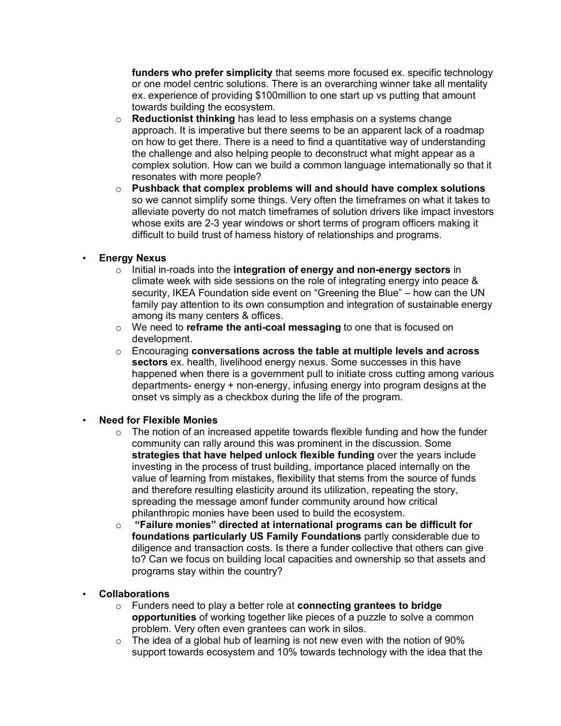**funders who prefer simplicity** that seems more focused ex. specific technology or one model centric solutions. There is an overarching winner take all mentality ex. experience of providing \$100million to one start up vs putting that amount towards building the ecosystem.

- o **Reductionist thinking** has lead to less emphasis on a systems change approach. It is imperative but there seems to be an apparent lack of a roadmap on how to get there. There is a need to find a quantitative way of understanding the challenge and also helping people to deconstruct what might appear as a complex solution. How can we build a common language internationally so that it resonates with more people?
- o **Pushback that complex problems will and should have complex solutions** so we cannot simplify some things. Very often the timeframes on what it takes to alleviate poverty do not match timeframes of solution drivers like impact investors whose exits are 2-3 year windows or short terms of program officers making it difficult to build trust of harness history of relationships and programs.

### • **Energy Nexus**

- o Initial in-roads into the **integration of energy and non-energy sectors** in climate week with side sessions on the role of integrating energy into peace & security, IKEA Foundation side event on "Greening the Blue" – how can the UN family pay attention to its own consumption and integration of sustainable energy among its many centers & offices.
- o We need to **reframe the anti-coal messaging** to one that is focused on development.
- o Encouraging **conversations across the table at multiple levels and across sectors** ex. health, livelihood energy nexus. Some successes in this have happened when there is a government pull to initiate cross cutting among various departments- energy + non-energy, infusing energy into program designs at the onset vs simply as a checkbox during the life of the program.

### • **Need for Flexible Monies**

- $\circ$  The notion of an increased appetite towards flexible funding and how the funder community can rally around this was prominent in the discussion. Some **strategies that have helped unlock flexible funding** over the years include investing in the process of trust building, importance placed internally on the value of learning from mistakes, flexibility that stems from the source of funds and therefore resulting elasticity around its utilization, repeating the story, spreading the message amonf funder community around how critical philanthropic monies have been used to build the ecosystem.
- o **"Failure monies" directed at international programs can be difficult for foundations particularly US Family Foundations** partly considerable due to diligence and transaction costs. Is there a funder collective that others can give to? Can we focus on building local capacities and ownership so that assets and programs stay within the country?

### • **Collaborations**

- o Funders need to play a better role at **connecting grantees to bridge opportunities** of working together like pieces of a puzzle to solve a common problem. Very often even grantees can work in silos.
- $\circ$  The idea of a global hub of learning is not new even with the notion of 90% support towards ecosystem and 10% towards technology with the idea that the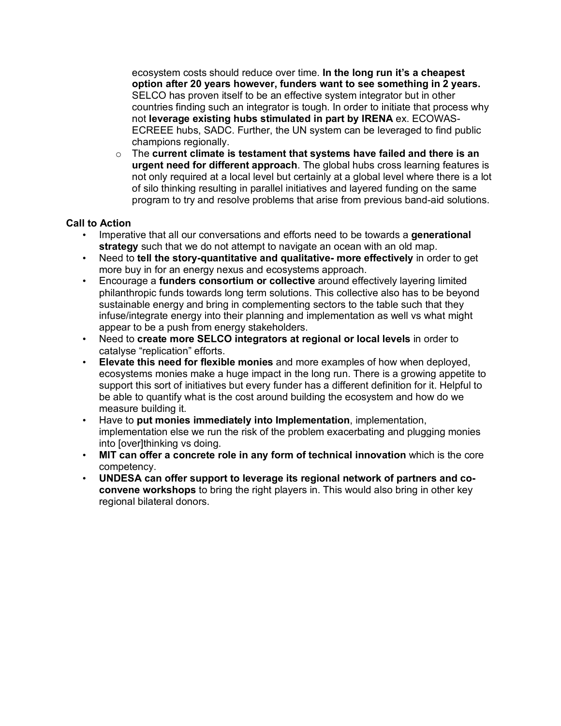ecosystem costs should reduce over time. **In the long run it's a cheapest option after 20 years however, funders want to see something in 2 years.** SELCO has proven itself to be an effective system integrator but in other countries finding such an integrator is tough. In order to initiate that process why not **leverage existing hubs stimulated in part by IRENA** ex. ECOWAS-ECREEE hubs, SADC. Further, the UN system can be leveraged to find public champions regionally.

o The **current climate is testament that systems have failed and there is an urgent need for different approach**. The global hubs cross learning features is not only required at a local level but certainly at a global level where there is a lot of silo thinking resulting in parallel initiatives and layered funding on the same program to try and resolve problems that arise from previous band-aid solutions.

### **Call to Action**

- Imperative that all our conversations and efforts need to be towards a **generational strategy** such that we do not attempt to navigate an ocean with an old map.
- Need to **tell the story-quantitative and qualitative- more effectively** in order to get more buy in for an energy nexus and ecosystems approach.
- Encourage a **funders consortium or collective** around effectively layering limited philanthropic funds towards long term solutions. This collective also has to be beyond sustainable energy and bring in complementing sectors to the table such that they infuse/integrate energy into their planning and implementation as well vs what might appear to be a push from energy stakeholders.
- Need to **create more SELCO integrators at regional or local levels** in order to catalyse "replication" efforts.
- **Elevate this need for flexible monies** and more examples of how when deployed, ecosystems monies make a huge impact in the long run. There is a growing appetite to support this sort of initiatives but every funder has a different definition for it. Helpful to be able to quantify what is the cost around building the ecosystem and how do we measure building it.
- Have to **put monies immediately into Implementation**, implementation, implementation else we run the risk of the problem exacerbating and plugging monies into [over]thinking vs doing.
- **MIT can offer a concrete role in any form of technical innovation** which is the core competency.
- **UNDESA can offer support to leverage its regional network of partners and coconvene workshops** to bring the right players in. This would also bring in other key regional bilateral donors.